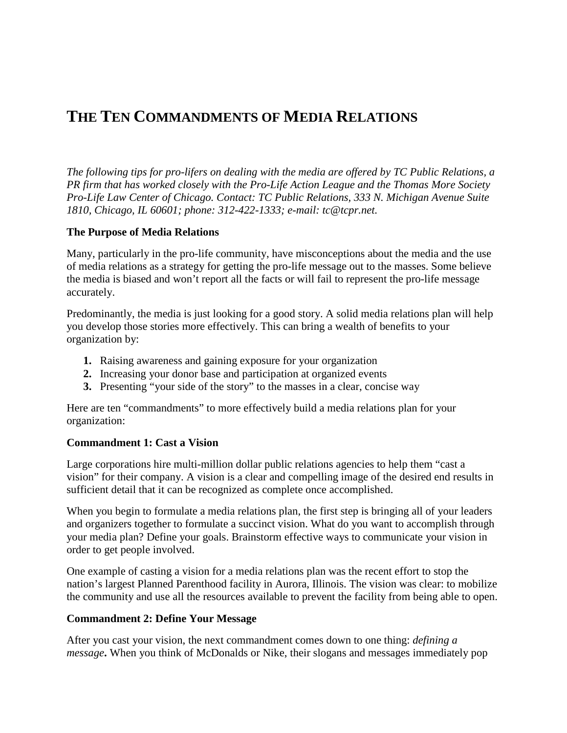# **THE TEN COMMANDMENTS OF MEDIA RELATIONS**

*The following tips for pro-lifers on dealing with the media are offered by TC Public Relations, a PR firm that has worked closely with the Pro-Life Action League and the Thomas More Society Pro-Life Law Center of Chicago. Contact: TC Public Relations, 333 N. Michigan Avenue Suite 1810, Chicago, IL 60601; phone: 312-422-1333; e-mail: tc@tcpr.net.*

### **The Purpose of Media Relations**

Many, particularly in the pro-life community, have misconceptions about the media and the use of media relations as a strategy for getting the pro-life message out to the masses. Some believe the media is biased and won't report all the facts or will fail to represent the pro-life message accurately.

Predominantly, the media is just looking for a good story. A solid media relations plan will help you develop those stories more effectively. This can bring a wealth of benefits to your organization by:

- **1.** Raising awareness and gaining exposure for your organization
- **2.** Increasing your donor base and participation at organized events
- **3.** Presenting "your side of the story" to the masses in a clear, concise way

Here are ten "commandments" to more effectively build a media relations plan for your organization:

# **Commandment 1: Cast a Vision**

Large corporations hire multi-million dollar public relations agencies to help them "cast a vision" for their company. A vision is a clear and compelling image of the desired end results in sufficient detail that it can be recognized as complete once accomplished.

When you begin to formulate a media relations plan, the first step is bringing all of your leaders and organizers together to formulate a succinct vision. What do you want to accomplish through your media plan? Define your goals. Brainstorm effective ways to communicate your vision in order to get people involved.

One example of casting a vision for a media relations plan was the recent effort to stop the nation's largest Planned Parenthood facility in Aurora, Illinois. The vision was clear: to mobilize the community and use all the resources available to prevent the facility from being able to open.

# **Commandment 2: Define Your Message**

After you cast your vision, the next commandment comes down to one thing: *defining a message***.** When you think of McDonalds or Nike, their slogans and messages immediately pop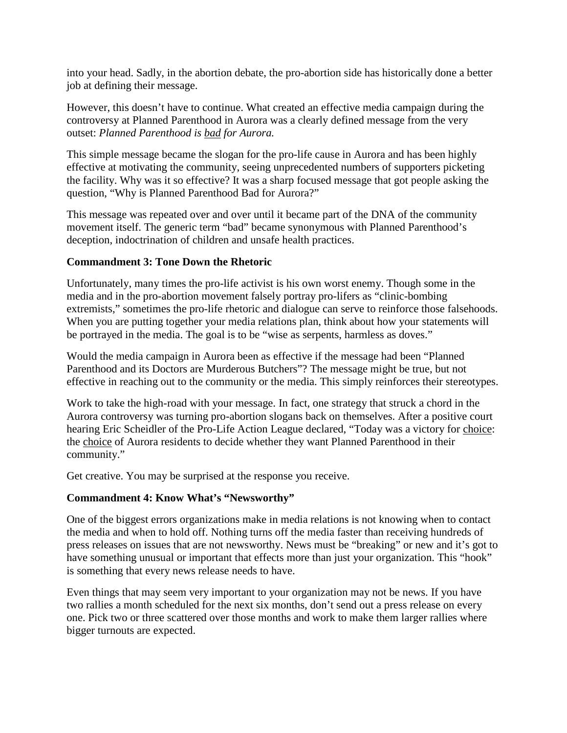into your head. Sadly, in the abortion debate, the pro-abortion side has historically done a better job at defining their message.

However, this doesn't have to continue. What created an effective media campaign during the controversy at Planned Parenthood in Aurora was a clearly defined message from the very outset: *Planned Parenthood is bad for Aurora.*

This simple message became the slogan for the pro-life cause in Aurora and has been highly effective at motivating the community, seeing unprecedented numbers of supporters picketing the facility. Why was it so effective? It was a sharp focused message that got people asking the question, "Why is Planned Parenthood Bad for Aurora?"

This message was repeated over and over until it became part of the DNA of the community movement itself. The generic term "bad" became synonymous with Planned Parenthood's deception, indoctrination of children and unsafe health practices.

### **Commandment 3: Tone Down the Rhetoric**

Unfortunately, many times the pro-life activist is his own worst enemy. Though some in the media and in the pro-abortion movement falsely portray pro-lifers as "clinic-bombing extremists," sometimes the pro-life rhetoric and dialogue can serve to reinforce those falsehoods. When you are putting together your media relations plan, think about how your statements will be portrayed in the media. The goal is to be "wise as serpents, harmless as doves."

Would the media campaign in Aurora been as effective if the message had been "Planned Parenthood and its Doctors are Murderous Butchers"? The message might be true, but not effective in reaching out to the community or the media. This simply reinforces their stereotypes.

Work to take the high-road with your message. In fact, one strategy that struck a chord in the Aurora controversy was turning pro-abortion slogans back on themselves. After a positive court hearing Eric Scheidler of the Pro-Life Action League declared, "Today was a victory for choice: the choice of Aurora residents to decide whether they want Planned Parenthood in their community."

Get creative. You may be surprised at the response you receive.

### **Commandment 4: Know What's "Newsworthy"**

One of the biggest errors organizations make in media relations is not knowing when to contact the media and when to hold off. Nothing turns off the media faster than receiving hundreds of press releases on issues that are not newsworthy. News must be "breaking" or new and it's got to have something unusual or important that effects more than just your organization. This "hook" is something that every news release needs to have.

Even things that may seem very important to your organization may not be news. If you have two rallies a month scheduled for the next six months, don't send out a press release on every one. Pick two or three scattered over those months and work to make them larger rallies where bigger turnouts are expected.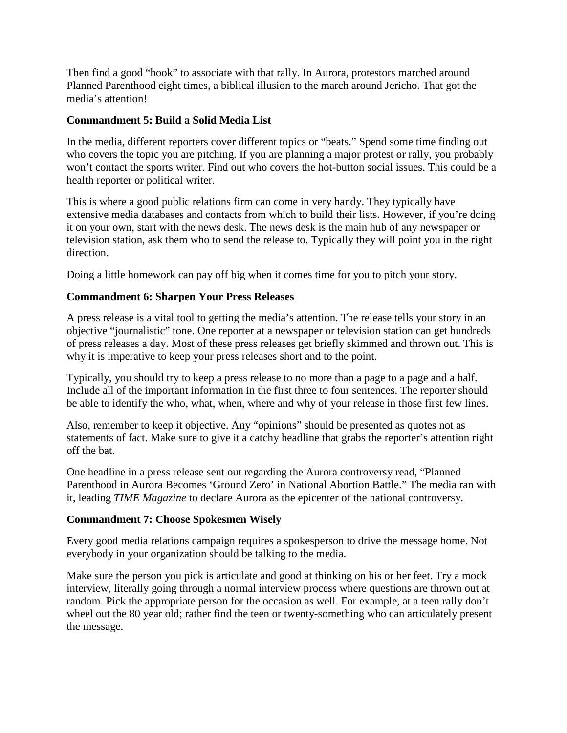Then find a good "hook" to associate with that rally. In Aurora, protestors marched around Planned Parenthood eight times, a biblical illusion to the march around Jericho. That got the media's attention!

### **Commandment 5: Build a Solid Media List**

In the media, different reporters cover different topics or "beats." Spend some time finding out who covers the topic you are pitching. If you are planning a major protest or rally, you probably won't contact the sports writer. Find out who covers the hot-button social issues. This could be a health reporter or political writer.

This is where a good public relations firm can come in very handy. They typically have extensive media databases and contacts from which to build their lists. However, if you're doing it on your own, start with the news desk. The news desk is the main hub of any newspaper or television station, ask them who to send the release to. Typically they will point you in the right direction.

Doing a little homework can pay off big when it comes time for you to pitch your story.

### **Commandment 6: Sharpen Your Press Releases**

A press release is a vital tool to getting the media's attention. The release tells your story in an objective "journalistic" tone. One reporter at a newspaper or television station can get hundreds of press releases a day. Most of these press releases get briefly skimmed and thrown out. This is why it is imperative to keep your press releases short and to the point.

Typically, you should try to keep a press release to no more than a page to a page and a half. Include all of the important information in the first three to four sentences. The reporter should be able to identify the who, what, when, where and why of your release in those first few lines.

Also, remember to keep it objective. Any "opinions" should be presented as quotes not as statements of fact. Make sure to give it a catchy headline that grabs the reporter's attention right off the bat.

One headline in a press release sent out regarding the Aurora controversy read, "Planned Parenthood in Aurora Becomes 'Ground Zero' in National Abortion Battle." The media ran with it, leading *TIME Magazine* to declare Aurora as the epicenter of the national controversy.

#### **Commandment 7: Choose Spokesmen Wisely**

Every good media relations campaign requires a spokesperson to drive the message home. Not everybody in your organization should be talking to the media.

Make sure the person you pick is articulate and good at thinking on his or her feet. Try a mock interview, literally going through a normal interview process where questions are thrown out at random. Pick the appropriate person for the occasion as well. For example, at a teen rally don't wheel out the 80 year old; rather find the teen or twenty-something who can articulately present the message.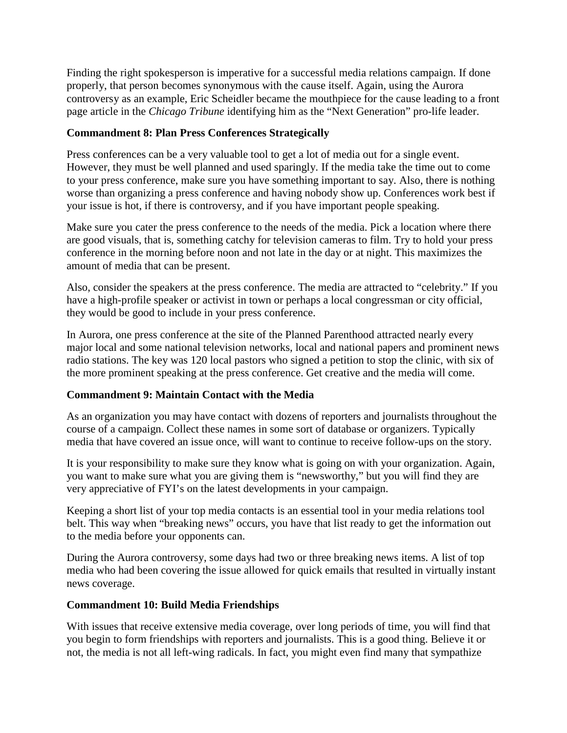Finding the right spokesperson is imperative for a successful media relations campaign. If done properly, that person becomes synonymous with the cause itself. Again, using the Aurora controversy as an example, Eric Scheidler became the mouthpiece for the cause leading to a front page article in the *Chicago Tribune* identifying him as the "Next Generation" pro-life leader.

## **Commandment 8: Plan Press Conferences Strategically**

Press conferences can be a very valuable tool to get a lot of media out for a single event. However, they must be well planned and used sparingly. If the media take the time out to come to your press conference, make sure you have something important to say. Also, there is nothing worse than organizing a press conference and having nobody show up. Conferences work best if your issue is hot, if there is controversy, and if you have important people speaking.

Make sure you cater the press conference to the needs of the media. Pick a location where there are good visuals, that is, something catchy for television cameras to film. Try to hold your press conference in the morning before noon and not late in the day or at night. This maximizes the amount of media that can be present.

Also, consider the speakers at the press conference. The media are attracted to "celebrity." If you have a high-profile speaker or activist in town or perhaps a local congressman or city official, they would be good to include in your press conference.

In Aurora, one press conference at the site of the Planned Parenthood attracted nearly every major local and some national television networks, local and national papers and prominent news radio stations. The key was 120 local pastors who signed a petition to stop the clinic, with six of the more prominent speaking at the press conference. Get creative and the media will come.

# **Commandment 9: Maintain Contact with the Media**

As an organization you may have contact with dozens of reporters and journalists throughout the course of a campaign. Collect these names in some sort of database or organizers. Typically media that have covered an issue once, will want to continue to receive follow-ups on the story.

It is your responsibility to make sure they know what is going on with your organization. Again, you want to make sure what you are giving them is "newsworthy," but you will find they are very appreciative of FYI's on the latest developments in your campaign.

Keeping a short list of your top media contacts is an essential tool in your media relations tool belt. This way when "breaking news" occurs, you have that list ready to get the information out to the media before your opponents can.

During the Aurora controversy, some days had two or three breaking news items. A list of top media who had been covering the issue allowed for quick emails that resulted in virtually instant news coverage.

#### **Commandment 10: Build Media Friendships**

With issues that receive extensive media coverage, over long periods of time, you will find that you begin to form friendships with reporters and journalists. This is a good thing. Believe it or not, the media is not all left-wing radicals. In fact, you might even find many that sympathize